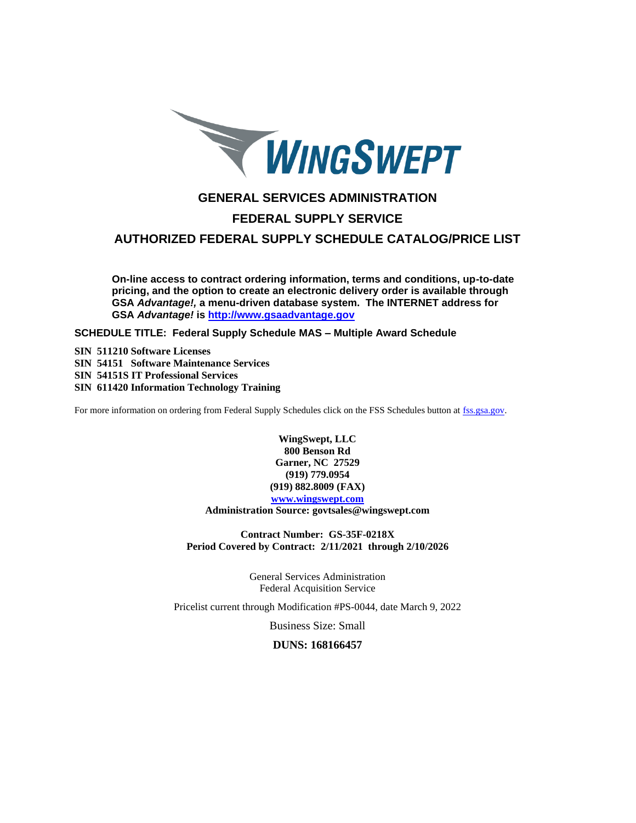

# **GENERAL SERVICES ADMINISTRATION**

# **FEDERAL SUPPLY SERVICE**

**AUTHORIZED FEDERAL SUPPLY SCHEDULE CATALOG/PRICE LIST**

**On-line access to contract ordering information, terms and conditions, up-to-date pricing, and the option to create an electronic delivery order is available through GSA** *Advantage!,* **a menu-driven database system. The INTERNET address for GSA** *Advantage!* **is [http://www.gsaadvantage.gov](http://www.gsaadvantage.gov/)**

**SCHEDULE TITLE: Federal Supply Schedule MAS – Multiple Award Schedule**

**SIN 511210 Software Licenses SIN 54151 Software Maintenance Services SIN 54151S IT Professional Services SIN 611420 Information Technology Training**

For more information on ordering from Federal Supply Schedules click on the FSS Schedules button a[t fss.gsa.gov.](http://fss.gsa.gov/)

**WingSwept, LLC 800 Benson Rd Garner, NC 27529 (919) 779.0954 (919) 882.8009 (FAX) [www.wingswept.com](http://www.wingswept.com/)**

**Administration Source: govtsales@wingswept.com**

**Contract Number: GS-35F-0218X Period Covered by Contract: 2/11/2021 through 2/10/2026**

> General Services Administration Federal Acquisition Service

Pricelist current through Modification #PS-0044, date March 9, 2022

Business Size: Small

**DUNS: 168166457**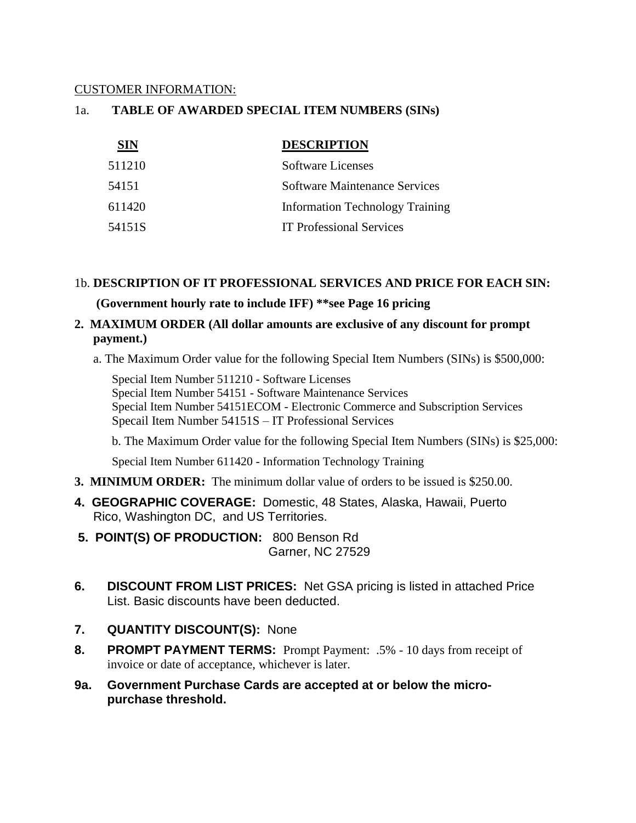# CUSTOMER INFORMATION:

# 1a. **TABLE OF AWARDED SPECIAL ITEM NUMBERS (SINs)**

| <b>SIN</b> | <b>DESCRIPTION</b>                     |
|------------|----------------------------------------|
| 511210     | Software Licenses                      |
| 54151      | <b>Software Maintenance Services</b>   |
| 611420     | <b>Information Technology Training</b> |
| 54151S     | <b>IT Professional Services</b>        |

# 1b. **DESCRIPTION OF IT PROFESSIONAL SERVICES AND PRICE FOR EACH SIN:**

# **(Government hourly rate to include IFF) \*\*see Page [16](#page-15-0) pricing**

# **2. MAXIMUM ORDER (All dollar amounts are exclusive of any discount for prompt payment.)**

a. The Maximum Order value for the following Special Item Numbers (SINs) is \$500,000:

Special Item Number 511210 - Software Licenses Special Item Number 54151 - Software Maintenance Services Special Item Number 54151ECOM - Electronic Commerce and Subscription Services Specail Item Number 54151S – IT Professional Services

b. The Maximum Order value for the following Special Item Numbers (SINs) is \$25,000:

Special Item Number 611420 - Information Technology Training

- **3. MINIMUM ORDER:** The minimum dollar value of orders to be issued is \$250.00.
- **4. GEOGRAPHIC COVERAGE:** Domestic, 48 States, Alaska, Hawaii, Puerto Rico, Washington DC, and US Territories.
- **5. POINT(S) OF PRODUCTION:** 800 Benson Rd Garner, NC 27529
- **6. DISCOUNT FROM LIST PRICES:** Net GSA pricing is listed in attached Price List. Basic discounts have been deducted.
- **7. QUANTITY DISCOUNT(S):** None
- **8. PROMPT PAYMENT TERMS:** Prompt Payment: .5% 10 days from receipt of invoice or date of acceptance, whichever is later.
- **9a. Government Purchase Cards are accepted at or below the micropurchase threshold.**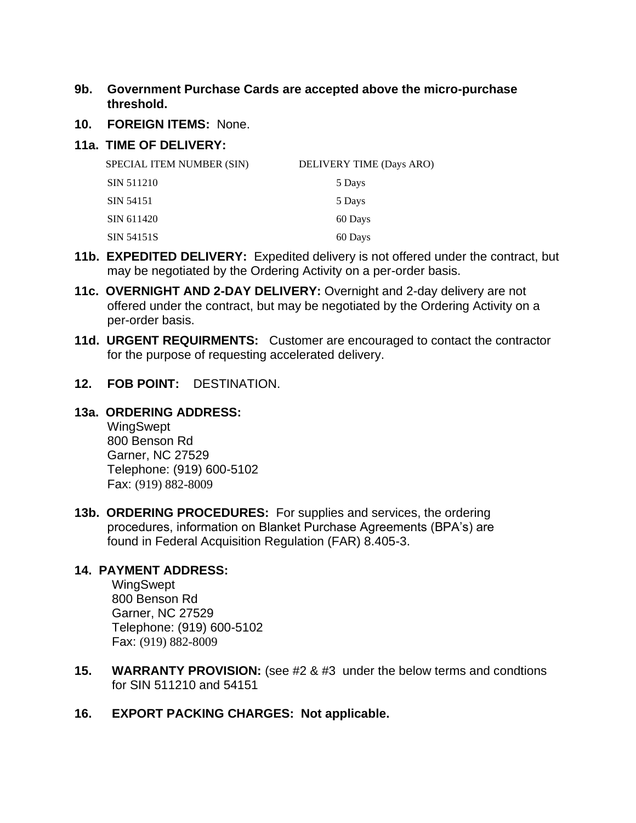# **9b. Government Purchase Cards are accepted above the micro-purchase threshold.**

**10. FOREIGN ITEMS:** None.

# **11a. TIME OF DELIVERY:**

| SPECIAL ITEM NUMBER (SIN) | DELIVERY TIME (Days ARO) |
|---------------------------|--------------------------|
| SIN 511210                | 5 Days                   |
| SIN 54151                 | 5 Days                   |
| SIN 611420                | 60 Days                  |
| SIN 54151S                | 60 Days                  |

- **11b. EXPEDITED DELIVERY:** Expedited delivery is not offered under the contract, but may be negotiated by the Ordering Activity on a per-order basis.
- **11c. OVERNIGHT AND 2-DAY DELIVERY:** Overnight and 2-day delivery are not offered under the contract, but may be negotiated by the Ordering Activity on a per-order basis.
- **11d. URGENT REQUIRMENTS:** Customer are encouraged to contact the contractor for the purpose of requesting accelerated delivery.
- **12. FOB POINT:** DESTINATION.

# **13a. ORDERING ADDRESS:**

WingSwept 800 Benson Rd Garner, NC 27529 Telephone: (919) 600-5102 Fax: (919) 882-8009

**13b. ORDERING PROCEDURES:** For supplies and services, the ordering procedures, information on Blanket Purchase Agreements (BPA's) are found in Federal Acquisition Regulation (FAR) 8.405-3.

# **14. PAYMENT ADDRESS:**

WingSwept 800 Benson Rd Garner, NC 27529 Telephone: (919) 600-5102 Fax: (919) 882-8009

- **15. WARRANTY PROVISION:** (see #2 & #3 under the below terms and condtions for SIN 511210 and 54151
- **16. EXPORT PACKING CHARGES: Not applicable.**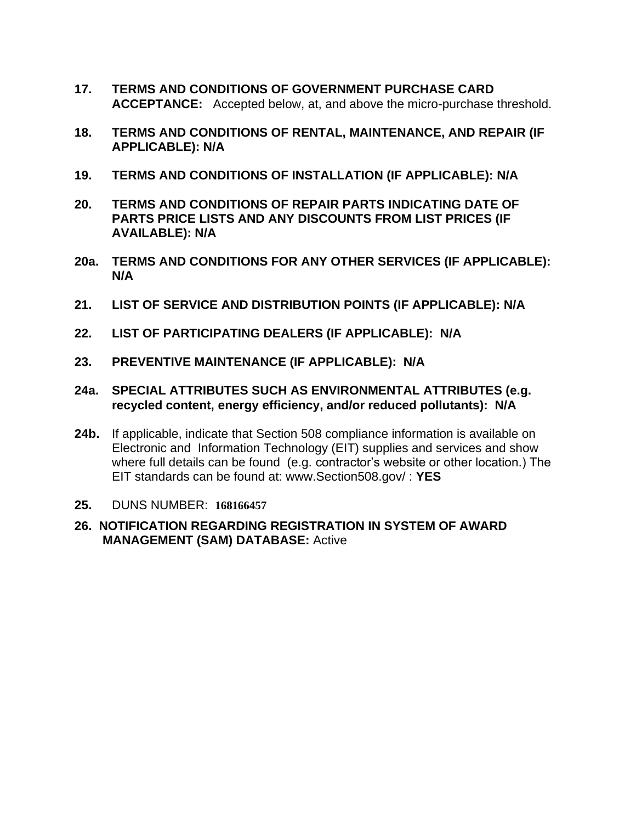- **17. TERMS AND CONDITIONS OF GOVERNMENT PURCHASE CARD ACCEPTANCE:** Accepted below, at, and above the micro-purchase threshold.
- **18. TERMS AND CONDITIONS OF RENTAL, MAINTENANCE, AND REPAIR (IF APPLICABLE): N/A**
- **19. TERMS AND CONDITIONS OF INSTALLATION (IF APPLICABLE): N/A**
- **20. TERMS AND CONDITIONS OF REPAIR PARTS INDICATING DATE OF PARTS PRICE LISTS AND ANY DISCOUNTS FROM LIST PRICES (IF AVAILABLE): N/A**
- **20a. TERMS AND CONDITIONS FOR ANY OTHER SERVICES (IF APPLICABLE): N/A**
- **21. LIST OF SERVICE AND DISTRIBUTION POINTS (IF APPLICABLE): N/A**
- **22. LIST OF PARTICIPATING DEALERS (IF APPLICABLE): N/A**
- **23. PREVENTIVE MAINTENANCE (IF APPLICABLE): N/A**
- **24a. SPECIAL ATTRIBUTES SUCH AS ENVIRONMENTAL ATTRIBUTES (e.g. recycled content, energy efficiency, and/or reduced pollutants): N/A**
- **24b.** If applicable, indicate that Section 508 compliance information is available on Electronic and Information Technology (EIT) supplies and services and show where full details can be found (e.g. contractor's website or other location.) The EIT standards can be found at: www.Section508.gov/ : **YES**
- **25.** DUNS NUMBER: **168166457**
- **26. NOTIFICATION REGARDING REGISTRATION IN SYSTEM OF AWARD MANAGEMENT (SAM) DATABASE:** Active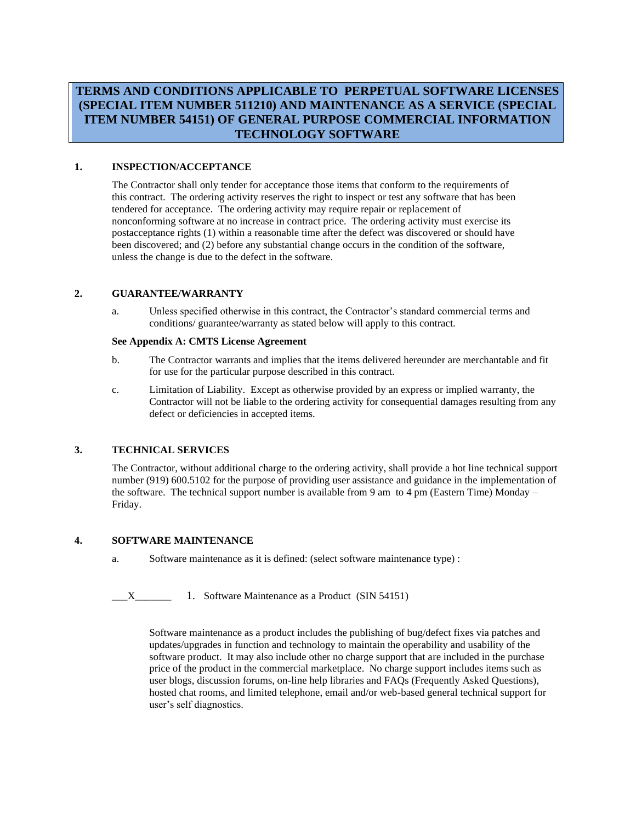# **TERMS AND CONDITIONS APPLICABLE TO PERPETUAL SOFTWARE LICENSES (SPECIAL ITEM NUMBER 511210) AND MAINTENANCE AS A SERVICE (SPECIAL ITEM NUMBER 54151) OF GENERAL PURPOSE COMMERCIAL INFORMATION TECHNOLOGY SOFTWARE**

## **1. INSPECTION/ACCEPTANCE**

The Contractor shall only tender for acceptance those items that conform to the requirements of this contract. The ordering activity reserves the right to inspect or test any software that has been tendered for acceptance. The ordering activity may require repair or replacement of nonconforming software at no increase in contract price. The ordering activity must exercise its postacceptance rights (1) within a reasonable time after the defect was discovered or should have been discovered; and (2) before any substantial change occurs in the condition of the software, unless the change is due to the defect in the software.

## **2. GUARANTEE/WARRANTY**

a. Unless specified otherwise in this contract, the Contractor's standard commercial terms and conditions/ guarantee/warranty as stated below will apply to this contract.

## **See Appendix A: CMTS License Agreement**

- b. The Contractor warrants and implies that the items delivered hereunder are merchantable and fit for use for the particular purpose described in this contract.
- c. Limitation of Liability. Except as otherwise provided by an express or implied warranty, the Contractor will not be liable to the ordering activity for consequential damages resulting from any defect or deficiencies in accepted items.

#### **3. TECHNICAL SERVICES**

The Contractor, without additional charge to the ordering activity, shall provide a hot line technical support number (919) 600.5102 for the purpose of providing user assistance and guidance in the implementation of the software. The technical support number is available from 9 am to 4 pm (Eastern Time) Monday – Friday.

#### **4. SOFTWARE MAINTENANCE**

a. Software maintenance as it is defined: (select software maintenance type) :

X 1. Software Maintenance as a Product (SIN 54151)

Software maintenance as a product includes the publishing of bug/defect fixes via patches and updates/upgrades in function and technology to maintain the operability and usability of the software product. It may also include other no charge support that are included in the purchase price of the product in the commercial marketplace. No charge support includes items such as user blogs, discussion forums, on-line help libraries and FAQs (Frequently Asked Questions), hosted chat rooms, and limited telephone, email and/or web-based general technical support for user's self diagnostics.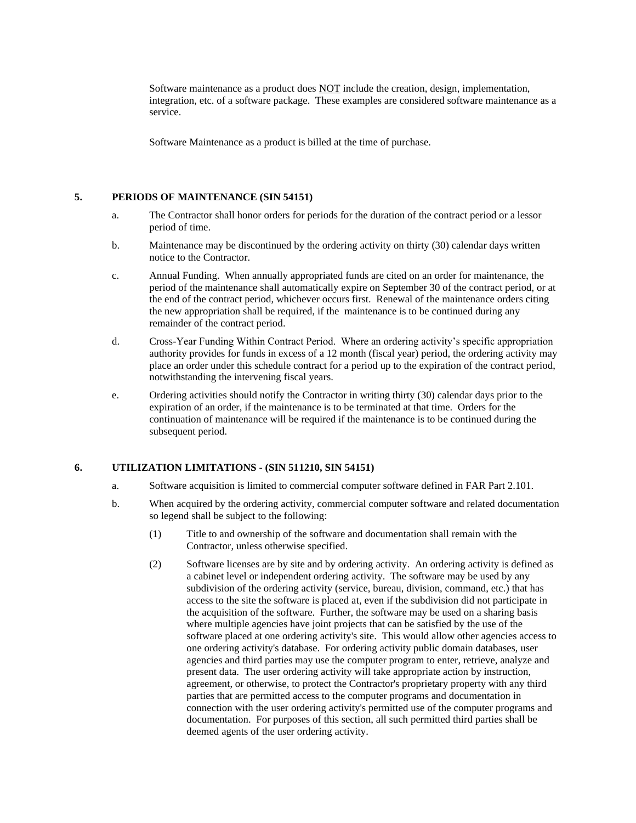Software maintenance as a product does NOT include the creation, design, implementation, integration, etc. of a software package. These examples are considered software maintenance as a service.

Software Maintenance as a product is billed at the time of purchase.

## **5. PERIODS OF MAINTENANCE (SIN 54151)**

- a. The Contractor shall honor orders for periods for the duration of the contract period or a lessor period of time.
- b. Maintenance may be discontinued by the ordering activity on thirty (30) calendar days written notice to the Contractor.
- c. Annual Funding. When annually appropriated funds are cited on an order for maintenance, the period of the maintenance shall automatically expire on September 30 of the contract period, or at the end of the contract period, whichever occurs first. Renewal of the maintenance orders citing the new appropriation shall be required, if the maintenance is to be continued during any remainder of the contract period.
- d. Cross-Year Funding Within Contract Period. Where an ordering activity's specific appropriation authority provides for funds in excess of a 12 month (fiscal year) period, the ordering activity may place an order under this schedule contract for a period up to the expiration of the contract period, notwithstanding the intervening fiscal years.
- e. Ordering activities should notify the Contractor in writing thirty (30) calendar days prior to the expiration of an order, if the maintenance is to be terminated at that time. Orders for the continuation of maintenance will be required if the maintenance is to be continued during the subsequent period.

## **6. UTILIZATION LIMITATIONS - (SIN 511210, SIN 54151)**

- a. Software acquisition is limited to commercial computer software defined in FAR Part 2.101.
- b. When acquired by the ordering activity, commercial computer software and related documentation so legend shall be subject to the following:
	- (1) Title to and ownership of the software and documentation shall remain with the Contractor, unless otherwise specified.
	- (2) Software licenses are by site and by ordering activity. An ordering activity is defined as a cabinet level or independent ordering activity. The software may be used by any subdivision of the ordering activity (service, bureau, division, command, etc.) that has access to the site the software is placed at, even if the subdivision did not participate in the acquisition of the software. Further, the software may be used on a sharing basis where multiple agencies have joint projects that can be satisfied by the use of the software placed at one ordering activity's site. This would allow other agencies access to one ordering activity's database. For ordering activity public domain databases, user agencies and third parties may use the computer program to enter, retrieve, analyze and present data. The user ordering activity will take appropriate action by instruction, agreement, or otherwise, to protect the Contractor's proprietary property with any third parties that are permitted access to the computer programs and documentation in connection with the user ordering activity's permitted use of the computer programs and documentation. For purposes of this section, all such permitted third parties shall be deemed agents of the user ordering activity.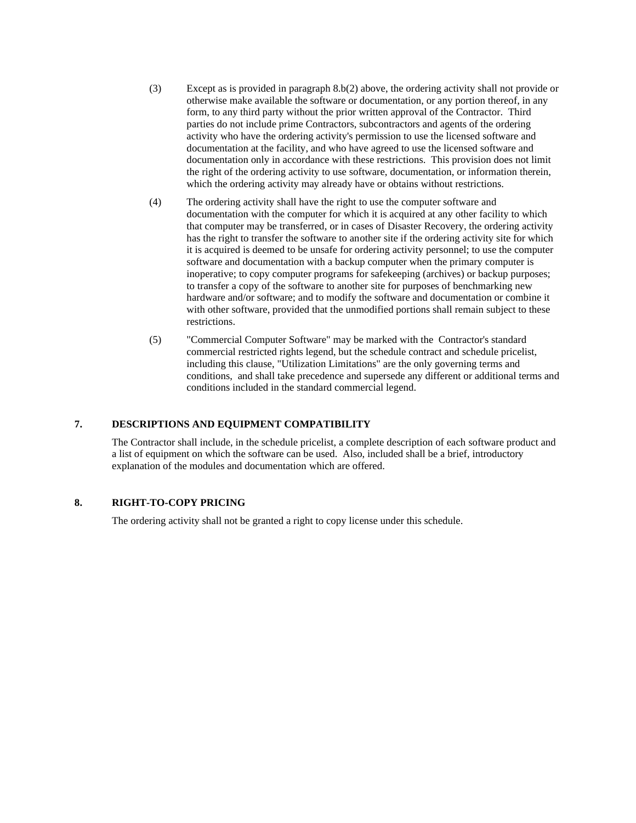- (3) Except as is provided in paragraph 8.b(2) above, the ordering activity shall not provide or otherwise make available the software or documentation, or any portion thereof, in any form, to any third party without the prior written approval of the Contractor. Third parties do not include prime Contractors, subcontractors and agents of the ordering activity who have the ordering activity's permission to use the licensed software and documentation at the facility, and who have agreed to use the licensed software and documentation only in accordance with these restrictions. This provision does not limit the right of the ordering activity to use software, documentation, or information therein, which the ordering activity may already have or obtains without restrictions.
- (4) The ordering activity shall have the right to use the computer software and documentation with the computer for which it is acquired at any other facility to which that computer may be transferred, or in cases of Disaster Recovery, the ordering activity has the right to transfer the software to another site if the ordering activity site for which it is acquired is deemed to be unsafe for ordering activity personnel; to use the computer software and documentation with a backup computer when the primary computer is inoperative; to copy computer programs for safekeeping (archives) or backup purposes; to transfer a copy of the software to another site for purposes of benchmarking new hardware and/or software; and to modify the software and documentation or combine it with other software, provided that the unmodified portions shall remain subject to these restrictions.
- (5) "Commercial Computer Software" may be marked with the Contractor's standard commercial restricted rights legend, but the schedule contract and schedule pricelist, including this clause, "Utilization Limitations" are the only governing terms and conditions, and shall take precedence and supersede any different or additional terms and conditions included in the standard commercial legend.

## **7. DESCRIPTIONS AND EQUIPMENT COMPATIBILITY**

The Contractor shall include, in the schedule pricelist, a complete description of each software product and a list of equipment on which the software can be used. Also, included shall be a brief, introductory explanation of the modules and documentation which are offered.

## **8. RIGHT-TO-COPY PRICING**

The ordering activity shall not be granted a right to copy license under this schedule.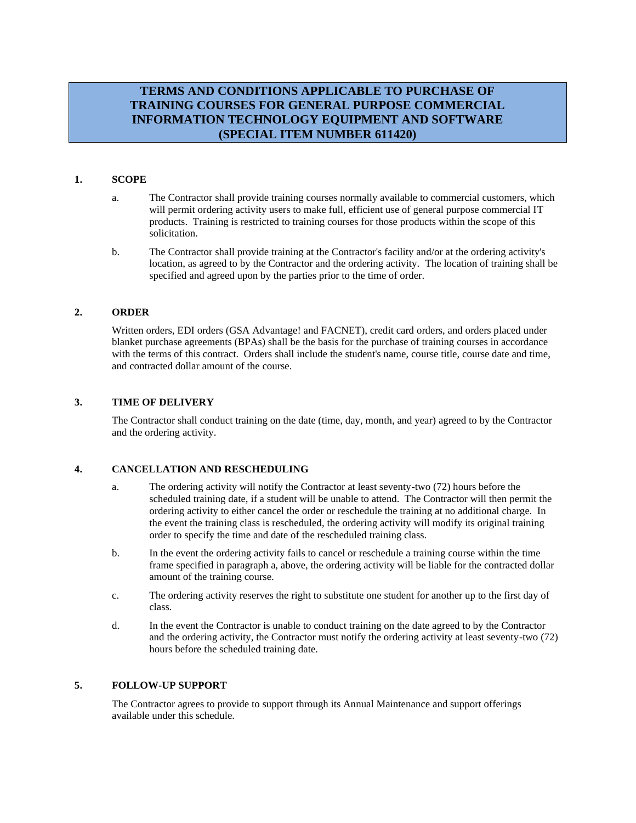# **TERMS AND CONDITIONS APPLICABLE TO PURCHASE OF TRAINING COURSES FOR GENERAL PURPOSE COMMERCIAL INFORMATION TECHNOLOGY EQUIPMENT AND SOFTWARE (SPECIAL ITEM NUMBER 611420)**

## **1. SCOPE**

- a. The Contractor shall provide training courses normally available to commercial customers, which will permit ordering activity users to make full, efficient use of general purpose commercial IT products. Training is restricted to training courses for those products within the scope of this solicitation.
- b. The Contractor shall provide training at the Contractor's facility and/or at the ordering activity's location, as agreed to by the Contractor and the ordering activity. The location of training shall be specified and agreed upon by the parties prior to the time of order.

#### **2. ORDER**

Written orders, EDI orders (GSA Advantage! and FACNET), credit card orders, and orders placed under blanket purchase agreements (BPAs) shall be the basis for the purchase of training courses in accordance with the terms of this contract. Orders shall include the student's name, course title, course date and time, and contracted dollar amount of the course.

## **3. TIME OF DELIVERY**

The Contractor shall conduct training on the date (time, day, month, and year) agreed to by the Contractor and the ordering activity.

## **4. CANCELLATION AND RESCHEDULING**

- a. The ordering activity will notify the Contractor at least seventy-two (72) hours before the scheduled training date, if a student will be unable to attend. The Contractor will then permit the ordering activity to either cancel the order or reschedule the training at no additional charge. In the event the training class is rescheduled, the ordering activity will modify its original training order to specify the time and date of the rescheduled training class.
- b. In the event the ordering activity fails to cancel or reschedule a training course within the time frame specified in paragraph a, above, the ordering activity will be liable for the contracted dollar amount of the training course.
- c. The ordering activity reserves the right to substitute one student for another up to the first day of class.
- d. In the event the Contractor is unable to conduct training on the date agreed to by the Contractor and the ordering activity, the Contractor must notify the ordering activity at least seventy-two (72) hours before the scheduled training date.

## **5. FOLLOW-UP SUPPORT**

The Contractor agrees to provide to support through its Annual Maintenance and support offerings available under this schedule.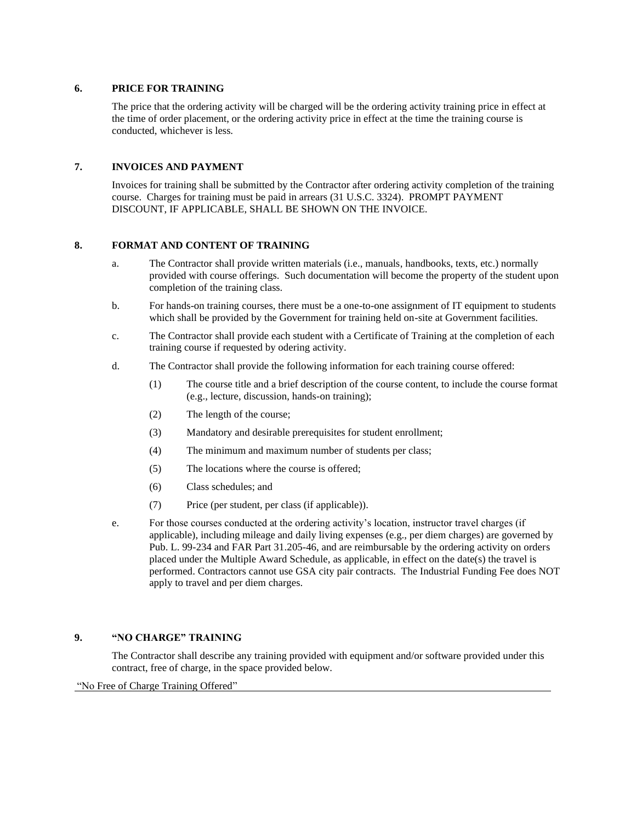## **6. PRICE FOR TRAINING**

The price that the ordering activity will be charged will be the ordering activity training price in effect at the time of order placement, or the ordering activity price in effect at the time the training course is conducted, whichever is less.

## **7. INVOICES AND PAYMENT**

Invoices for training shall be submitted by the Contractor after ordering activity completion of the training course. Charges for training must be paid in arrears (31 U.S.C. 3324). PROMPT PAYMENT DISCOUNT, IF APPLICABLE, SHALL BE SHOWN ON THE INVOICE.

## **8. FORMAT AND CONTENT OF TRAINING**

- a. The Contractor shall provide written materials (i.e., manuals, handbooks, texts, etc.) normally provided with course offerings. Such documentation will become the property of the student upon completion of the training class.
- b. For hands-on training courses, there must be a one-to-one assignment of IT equipment to students which shall be provided by the Government for training held on-site at Government facilities.
- c. The Contractor shall provide each student with a Certificate of Training at the completion of each training course if requested by odering activity.
- d. The Contractor shall provide the following information for each training course offered:
	- (1) The course title and a brief description of the course content, to include the course format (e.g., lecture, discussion, hands-on training);
	- (2) The length of the course;
	- (3) Mandatory and desirable prerequisites for student enrollment;
	- (4) The minimum and maximum number of students per class;
	- (5) The locations where the course is offered;
	- (6) Class schedules; and
	- (7) Price (per student, per class (if applicable)).
- e. For those courses conducted at the ordering activity's location, instructor travel charges (if applicable), including mileage and daily living expenses (e.g., per diem charges) are governed by Pub. L. 99-234 and FAR Part 31.205-46, and are reimbursable by the ordering activity on orders placed under the Multiple Award Schedule, as applicable, in effect on the date(s) the travel is performed. Contractors cannot use GSA city pair contracts. The Industrial Funding Fee does NOT apply to travel and per diem charges.

## **9. "NO CHARGE" TRAINING**

The Contractor shall describe any training provided with equipment and/or software provided under this contract, free of charge, in the space provided below.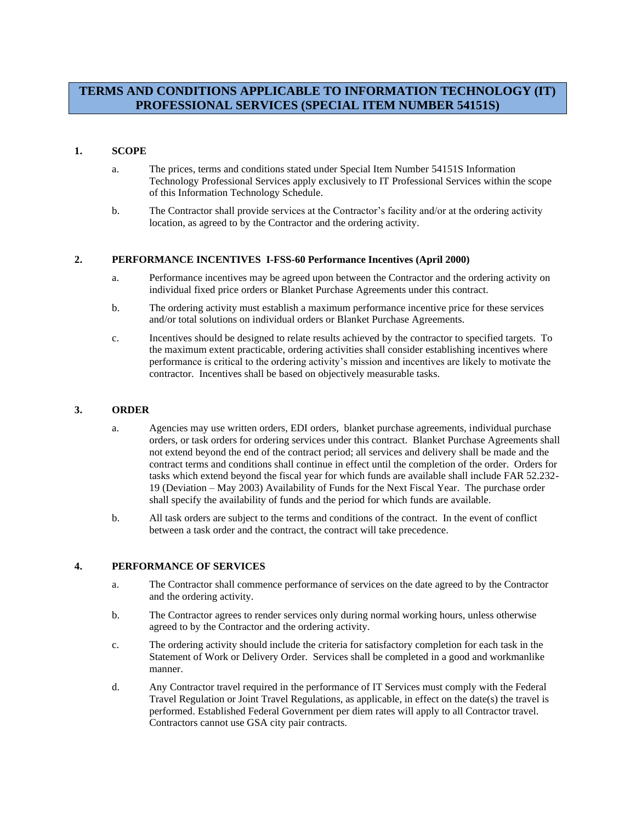# **TERMS AND CONDITIONS APPLICABLE TO INFORMATION TECHNOLOGY (IT) PROFESSIONAL SERVICES (SPECIAL ITEM NUMBER 54151S)**

## **1. SCOPE**

- a. The prices, terms and conditions stated under Special Item Number 54151S Information Technology Professional Services apply exclusively to IT Professional Services within the scope of this Information Technology Schedule.
- b. The Contractor shall provide services at the Contractor's facility and/or at the ordering activity location, as agreed to by the Contractor and the ordering activity.

#### **2. PERFORMANCE INCENTIVES I-FSS-60 Performance Incentives (April 2000)**

- a. Performance incentives may be agreed upon between the Contractor and the ordering activity on individual fixed price orders or Blanket Purchase Agreements under this contract.
- b. The ordering activity must establish a maximum performance incentive price for these services and/or total solutions on individual orders or Blanket Purchase Agreements.
- c. Incentives should be designed to relate results achieved by the contractor to specified targets. To the maximum extent practicable, ordering activities shall consider establishing incentives where performance is critical to the ordering activity's mission and incentives are likely to motivate the contractor. Incentives shall be based on objectively measurable tasks.

## **3. ORDER**

- a. Agencies may use written orders, EDI orders, blanket purchase agreements, individual purchase orders, or task orders for ordering services under this contract. Blanket Purchase Agreements shall not extend beyond the end of the contract period; all services and delivery shall be made and the contract terms and conditions shall continue in effect until the completion of the order. Orders for tasks which extend beyond the fiscal year for which funds are available shall include FAR 52.232- 19 (Deviation – May 2003) Availability of Funds for the Next Fiscal Year. The purchase order shall specify the availability of funds and the period for which funds are available.
- b. All task orders are subject to the terms and conditions of the contract. In the event of conflict between a task order and the contract, the contract will take precedence.

## **4. PERFORMANCE OF SERVICES**

- a. The Contractor shall commence performance of services on the date agreed to by the Contractor and the ordering activity.
- b. The Contractor agrees to render services only during normal working hours, unless otherwise agreed to by the Contractor and the ordering activity.
- c. The ordering activity should include the criteria for satisfactory completion for each task in the Statement of Work or Delivery Order. Services shall be completed in a good and workmanlike manner.
- d. Any Contractor travel required in the performance of IT Services must comply with the Federal Travel Regulation or Joint Travel Regulations, as applicable, in effect on the date(s) the travel is performed. Established Federal Government per diem rates will apply to all Contractor travel. Contractors cannot use GSA city pair contracts.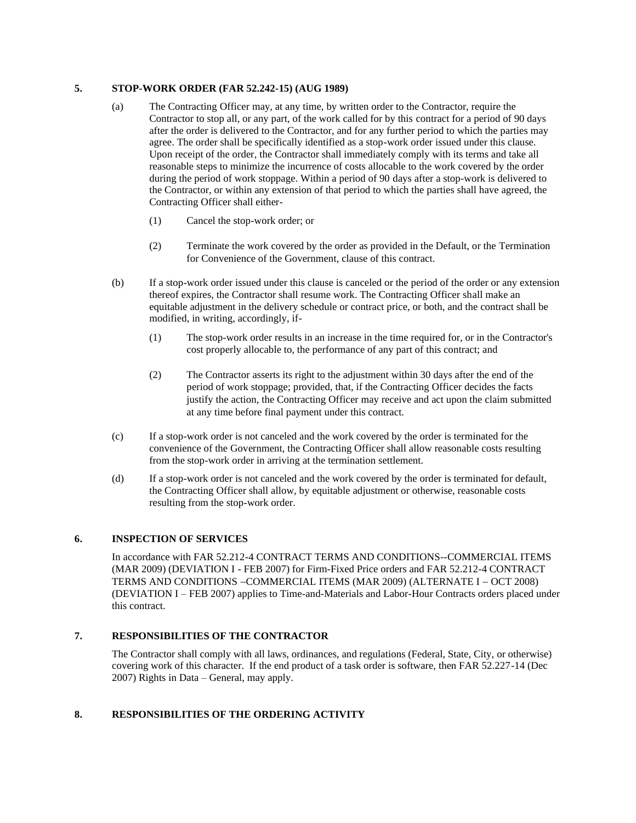## **5. STOP-WORK ORDER (FAR 52.242-15) (AUG 1989)**

- (a) The Contracting Officer may, at any time, by written order to the Contractor, require the Contractor to stop all, or any part, of the work called for by this contract for a period of 90 days after the order is delivered to the Contractor, and for any further period to which the parties may agree. The order shall be specifically identified as a stop-work order issued under this clause. Upon receipt of the order, the Contractor shall immediately comply with its terms and take all reasonable steps to minimize the incurrence of costs allocable to the work covered by the order during the period of work stoppage. Within a period of 90 days after a stop-work is delivered to the Contractor, or within any extension of that period to which the parties shall have agreed, the Contracting Officer shall either-
	- (1) Cancel the stop-work order; or
	- (2) Terminate the work covered by the order as provided in the Default, or the Termination for Convenience of the Government, clause of this contract.
- (b) If a stop-work order issued under this clause is canceled or the period of the order or any extension thereof expires, the Contractor shall resume work. The Contracting Officer shall make an equitable adjustment in the delivery schedule or contract price, or both, and the contract shall be modified, in writing, accordingly, if-
	- (1) The stop-work order results in an increase in the time required for, or in the Contractor's cost properly allocable to, the performance of any part of this contract; and
	- (2) The Contractor asserts its right to the adjustment within 30 days after the end of the period of work stoppage; provided, that, if the Contracting Officer decides the facts justify the action, the Contracting Officer may receive and act upon the claim submitted at any time before final payment under this contract.
- (c) If a stop-work order is not canceled and the work covered by the order is terminated for the convenience of the Government, the Contracting Officer shall allow reasonable costs resulting from the stop-work order in arriving at the termination settlement.
- (d) If a stop-work order is not canceled and the work covered by the order is terminated for default, the Contracting Officer shall allow, by equitable adjustment or otherwise, reasonable costs resulting from the stop-work order.

## **6. INSPECTION OF SERVICES**

In accordance with FAR 52.212-4 CONTRACT TERMS AND CONDITIONS--COMMERCIAL ITEMS (MAR 2009) (DEVIATION I - FEB 2007) for Firm-Fixed Price orders and FAR 52.212-4 CONTRACT TERMS AND CONDITIONS −COMMERCIAL ITEMS (MAR 2009) (ALTERNATE I − OCT 2008) (DEVIATION I – FEB 2007) applies to Time-and-Materials and Labor-Hour Contracts orders placed under this contract.

## **7. RESPONSIBILITIES OF THE CONTRACTOR**

The Contractor shall comply with all laws, ordinances, and regulations (Federal, State, City, or otherwise) covering work of this character. If the end product of a task order is software, then FAR 52.227-14 (Dec 2007) Rights in Data – General, may apply.

## **8. RESPONSIBILITIES OF THE ORDERING ACTIVITY**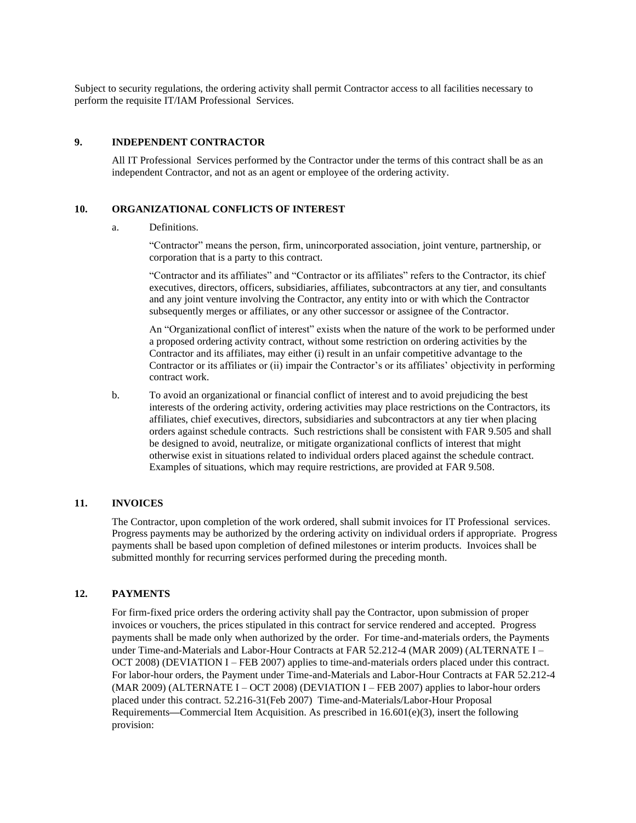Subject to security regulations, the ordering activity shall permit Contractor access to all facilities necessary to perform the requisite IT/IAM Professional Services.

## **9. INDEPENDENT CONTRACTOR**

All IT Professional Services performed by the Contractor under the terms of this contract shall be as an independent Contractor, and not as an agent or employee of the ordering activity.

## **10. ORGANIZATIONAL CONFLICTS OF INTEREST**

a. Definitions.

"Contractor" means the person, firm, unincorporated association, joint venture, partnership, or corporation that is a party to this contract.

"Contractor and its affiliates" and "Contractor or its affiliates" refers to the Contractor, its chief executives, directors, officers, subsidiaries, affiliates, subcontractors at any tier, and consultants and any joint venture involving the Contractor, any entity into or with which the Contractor subsequently merges or affiliates, or any other successor or assignee of the Contractor.

An "Organizational conflict of interest" exists when the nature of the work to be performed under a proposed ordering activity contract, without some restriction on ordering activities by the Contractor and its affiliates, may either (i) result in an unfair competitive advantage to the Contractor or its affiliates or (ii) impair the Contractor's or its affiliates' objectivity in performing contract work.

b. To avoid an organizational or financial conflict of interest and to avoid prejudicing the best interests of the ordering activity, ordering activities may place restrictions on the Contractors, its affiliates, chief executives, directors, subsidiaries and subcontractors at any tier when placing orders against schedule contracts. Such restrictions shall be consistent with FAR 9.505 and shall be designed to avoid, neutralize, or mitigate organizational conflicts of interest that might otherwise exist in situations related to individual orders placed against the schedule contract. Examples of situations, which may require restrictions, are provided at FAR 9.508.

## **11. INVOICES**

The Contractor, upon completion of the work ordered, shall submit invoices for IT Professional services. Progress payments may be authorized by the ordering activity on individual orders if appropriate. Progress payments shall be based upon completion of defined milestones or interim products. Invoices shall be submitted monthly for recurring services performed during the preceding month.

#### **12. PAYMENTS**

For firm-fixed price orders the ordering activity shall pay the Contractor, upon submission of proper invoices or vouchers, the prices stipulated in this contract for service rendered and accepted. Progress payments shall be made only when authorized by the order. For time-and-materials orders, the Payments under Time-and-Materials and Labor-Hour Contracts at FAR 52.212-4 (MAR 2009) (ALTERNATE I – OCT 2008) (DEVIATION I – FEB 2007) applies to time-and-materials orders placed under this contract. For labor-hour orders, the Payment under Time-and-Materials and Labor-Hour Contracts at FAR 52.212-4 (MAR 2009) (ALTERNATE I – OCT 2008) (DEVIATION I – FEB 2007) applies to labor-hour orders placed under this contract. 52.216-31(Feb 2007) Time-and-Materials/Labor-Hour Proposal Requirements**—**Commercial Item Acquisition. As prescribed in 16.601(e)(3), insert the following provision: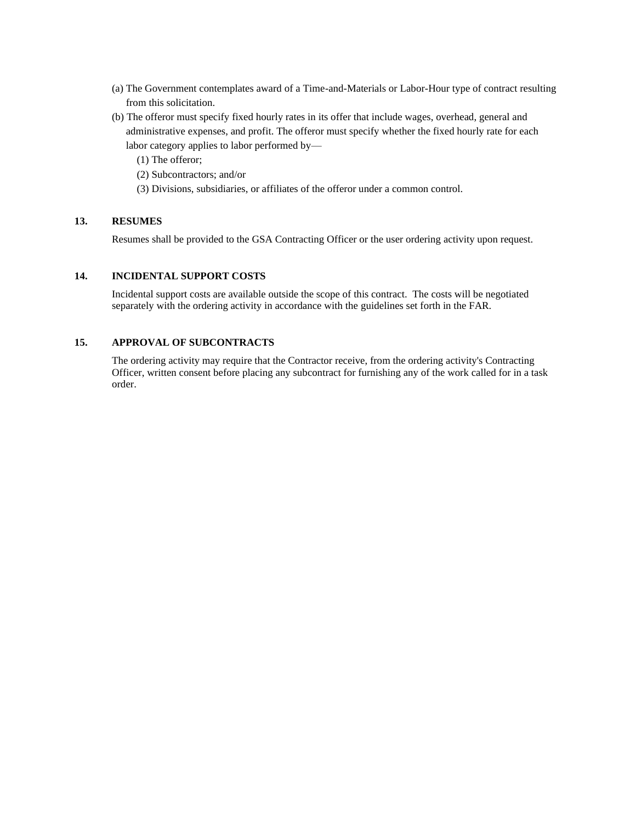- (a) The Government contemplates award of a Time-and-Materials or Labor-Hour type of contract resulting from this solicitation.
- (b) The offeror must specify fixed hourly rates in its offer that include wages, overhead, general and administrative expenses, and profit. The offeror must specify whether the fixed hourly rate for each labor category applies to labor performed by—
	- (1) The offeror;
	- (2) Subcontractors; and/or
	- (3) Divisions, subsidiaries, or affiliates of the offeror under a common control.

## **13. RESUMES**

Resumes shall be provided to the GSA Contracting Officer or the user ordering activity upon request.

## **14. INCIDENTAL SUPPORT COSTS**

Incidental support costs are available outside the scope of this contract. The costs will be negotiated separately with the ordering activity in accordance with the guidelines set forth in the FAR.

## **15. APPROVAL OF SUBCONTRACTS**

The ordering activity may require that the Contractor receive, from the ordering activity's Contracting Officer, written consent before placing any subcontract for furnishing any of the work called for in a task order.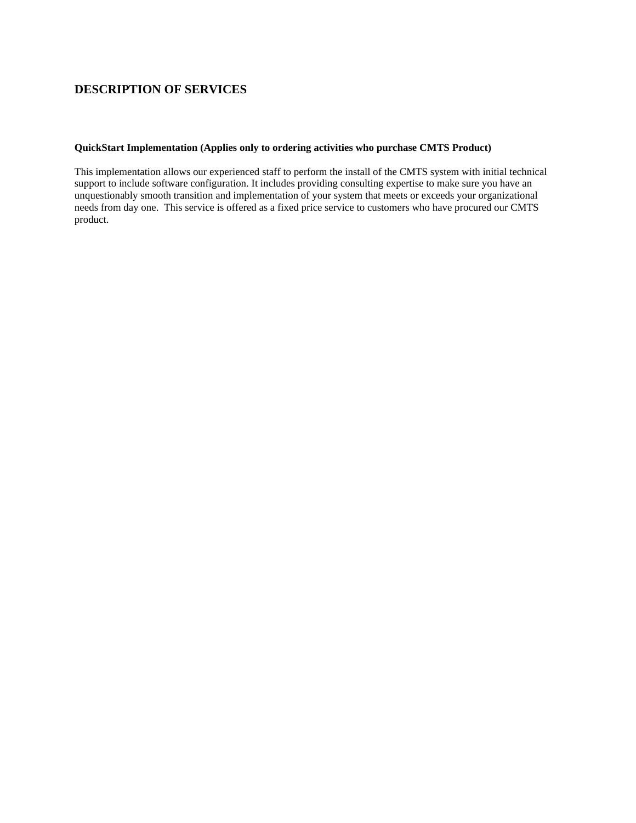# **DESCRIPTION OF SERVICES**

## **QuickStart Implementation (Applies only to ordering activities who purchase CMTS Product)**

This implementation allows our experienced staff to perform the install of the CMTS system with initial technical support to include software configuration. It includes providing consulting expertise to make sure you have an unquestionably smooth transition and implementation of your system that meets or exceeds your organizational needs from day one. This service is offered as a fixed price service to customers who have procured our CMTS product.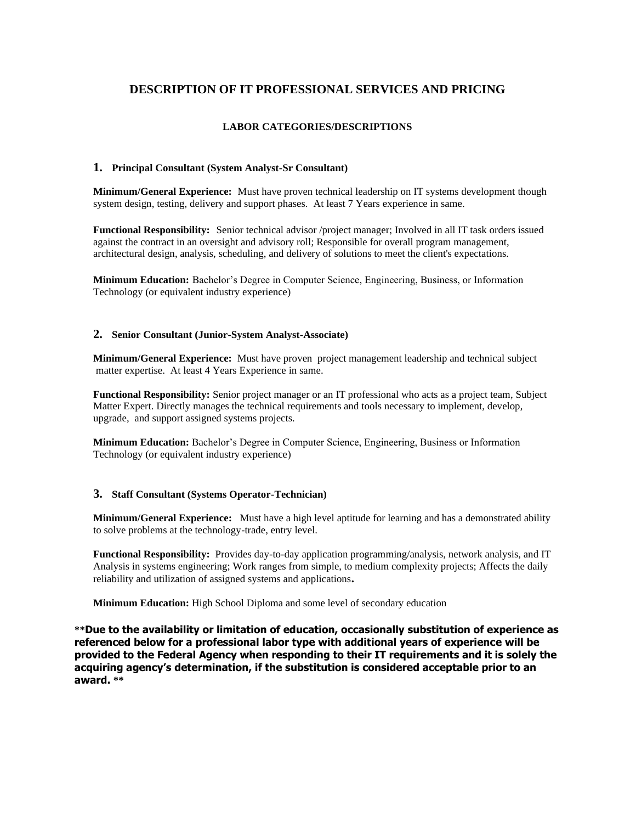# **DESCRIPTION OF IT PROFESSIONAL SERVICES AND PRICING**

## **LABOR CATEGORIES/DESCRIPTIONS**

## **1. Principal Consultant (System Analyst-Sr Consultant)**

**Minimum/General Experience:** Must have proven technical leadership on IT systems development though system design, testing, delivery and support phases. At least 7 Years experience in same.

**Functional Responsibility:** Senior technical advisor /project manager; Involved in all IT task orders issued against the contract in an oversight and advisory roll; Responsible for overall program management, architectural design, analysis, scheduling, and delivery of solutions to meet the client's expectations.

**Minimum Education:** Bachelor's Degree in Computer Science, Engineering, Business, or Information Technology (or equivalent industry experience)

## **2. Senior Consultant (Junior-System Analyst-Associate)**

**Minimum/General Experience:** Must have proven project management leadership and technical subject matter expertise. At least 4 Years Experience in same.

**Functional Responsibility:** Senior project manager or an IT professional who acts as a project team, Subject Matter Expert. Directly manages the technical requirements and tools necessary to implement, develop, upgrade, and support assigned systems projects.

**Minimum Education:** Bachelor's Degree in Computer Science, Engineering, Business or Information Technology (or equivalent industry experience)

## **3. Staff Consultant (Systems Operator-Technician)**

**Minimum/General Experience:** Must have a high level aptitude for learning and has a demonstrated ability to solve problems at the technology-trade, entry level.

**Functional Responsibility:** Provides day-to-day application programming/analysis, network analysis, and IT Analysis in systems engineering; Work ranges from simple, to medium complexity projects; Affects the daily reliability and utilization of assigned systems and applications**.**

**Minimum Education:** High School Diploma and some level of secondary education

**\*\*Due to the availability or limitation of education, occasionally substitution of experience as referenced below for a professional labor type with additional years of experience will be provided to the Federal Agency when responding to their IT requirements and it is solely the acquiring agency's determination, if the substitution is considered acceptable prior to an award. \*\***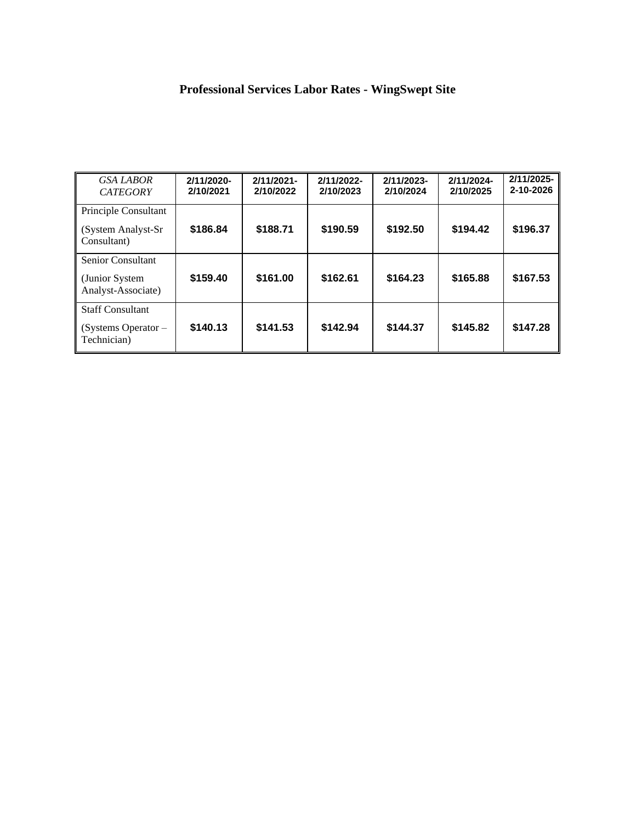# **Professional Services Labor Rates - WingSwept Site**

<span id="page-15-0"></span>

| <b>GSA LABOR</b><br><b>CATEGORY</b>                               | 2/11/2020-<br>2/10/2021 | 2/11/2021-<br>2/10/2022 | 2/11/2022-<br>2/10/2023 | 2/11/2023-<br>2/10/2024 | 2/11/2024-<br>2/10/2025 | 2/11/2025-<br>2-10-2026 |
|-------------------------------------------------------------------|-------------------------|-------------------------|-------------------------|-------------------------|-------------------------|-------------------------|
| Principle Consultant<br>(System Analyst-Sr<br>Consultant)         | \$186.84                | \$188.71                | \$190.59                | \$192.50                | \$194.42                | \$196.37                |
| <b>Senior Consultant</b><br>(Junior System)<br>Analyst-Associate) | \$159.40                | \$161.00                | \$162.61                | \$164.23                | \$165.88                | \$167.53                |
| <b>Staff Consultant</b><br>(Systems Operator $-$<br>Technician)   | \$140.13                | \$141.53                | \$142.94                | \$144.37                | \$145.82                | \$147.28                |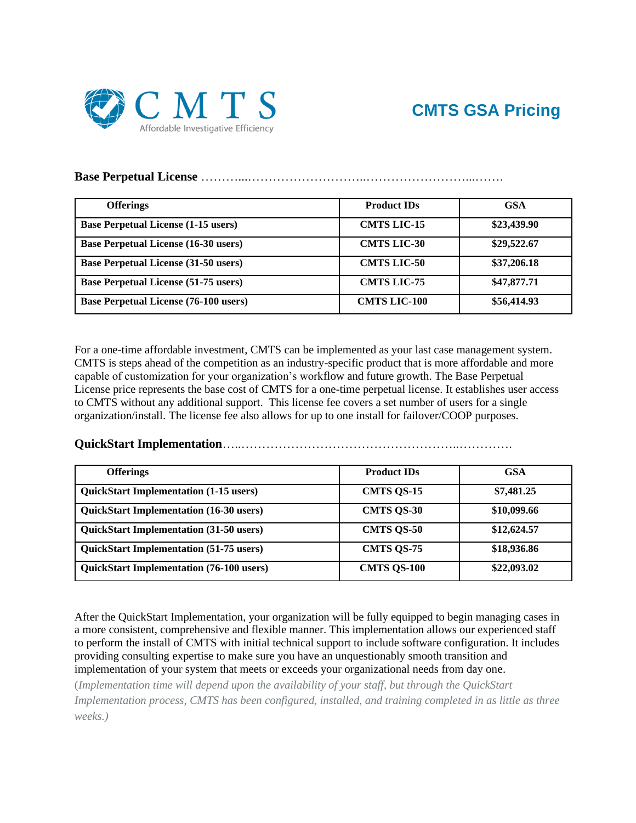

## **Base Perpetual License** ………...………………………..……………………...…….

| <b>Offerings</b>                             | <b>Product IDs</b>  | <b>GSA</b>  |
|----------------------------------------------|---------------------|-------------|
| <b>Base Perpetual License (1-15 users)</b>   | <b>CMTS LIC-15</b>  | \$23,439.90 |
| <b>Base Perpetual License (16-30 users)</b>  | <b>CMTS LIC-30</b>  | \$29,522.67 |
| <b>Base Perpetual License (31-50 users)</b>  | <b>CMTS LIC-50</b>  | \$37,206.18 |
| <b>Base Perpetual License (51-75 users)</b>  | <b>CMTS LIC-75</b>  | \$47,877.71 |
| <b>Base Perpetual License (76-100 users)</b> | <b>CMTS LIC-100</b> | \$56,414.93 |

For a one-time affordable investment, CMTS can be implemented as your last case management system. CMTS is steps ahead of the competition as an industry-specific product that is more affordable and more capable of customization for your organization's workflow and future growth. The Base Perpetual License price represents the base cost of CMTS for a one-time perpetual license. It establishes user access to CMTS without any additional support. This license fee covers a set number of users for a single organization/install. The license fee also allows for up to one install for failover/COOP purposes.

**QuickStart Implementation**…..……………………………………………..………….

| <b>Offerings</b>                                | <b>Product IDs</b> | <b>GSA</b>  |
|-------------------------------------------------|--------------------|-------------|
| <b>QuickStart Implementation (1-15 users)</b>   | <b>CMTS QS-15</b>  | \$7,481.25  |
| <b>QuickStart Implementation (16-30 users)</b>  | <b>CMTS QS-30</b>  | \$10,099.66 |
| <b>QuickStart Implementation (31-50 users)</b>  | <b>CMTS QS-50</b>  | \$12,624.57 |
| <b>QuickStart Implementation (51-75 users)</b>  | <b>CMTS QS-75</b>  | \$18,936.86 |
| <b>QuickStart Implementation (76-100 users)</b> | <b>CMTS QS-100</b> | \$22,093.02 |

After the QuickStart Implementation, your organization will be fully equipped to begin managing cases in a more consistent, comprehensive and flexible manner. This implementation allows our experienced staff to perform the install of CMTS with initial technical support to include software configuration. It includes providing consulting expertise to make sure you have an unquestionably smooth transition and implementation of your system that meets or exceeds your organizational needs from day one.

(*Implementation time will depend upon the availability of your staff, but through the QuickStart Implementation process, CMTS has been configured, installed, and training completed in as little as three weeks.)*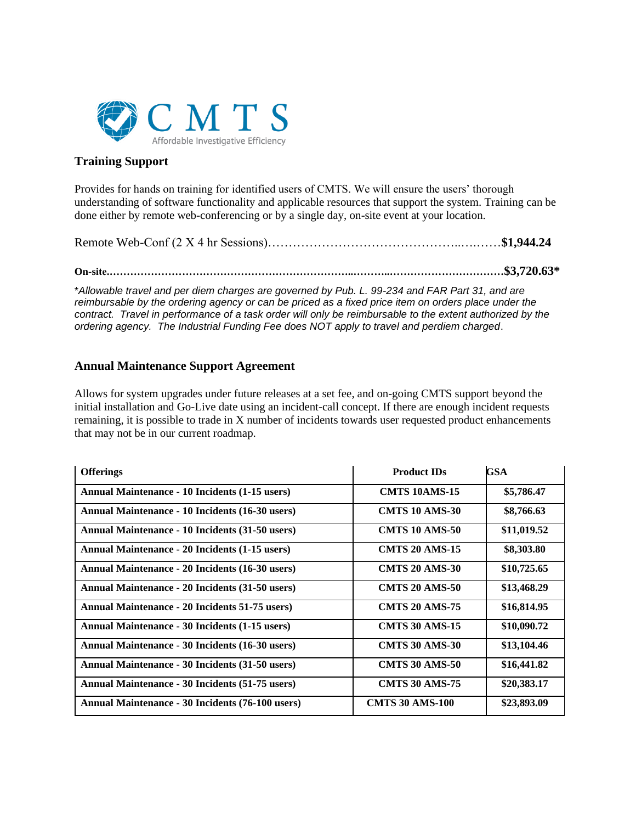

# **Training Support**

Provides for hands on training for identified users of CMTS. We will ensure the users' thorough understanding of software functionality and applicable resources that support the system. Training can be done either by remote web-conferencing or by a single day, on-site event at your location.

Remote Web-Conf (2 X 4 hr Sessions)………………………………………..….……**\$1,944.24**

**On-site.……………………………………………………………..………..……………………………\$3,720.63\***

\**Allowable travel and per diem charges are governed by Pub. L. 99-234 and FAR Part 31, and are reimbursable by the ordering agency or can be priced as a fixed price item on orders place under the contract. Travel in performance of a task order will only be reimbursable to the extent authorized by the ordering agency. The Industrial Funding Fee does NOT apply to travel and perdiem charged*.

# **Annual Maintenance Support Agreement**

Allows for system upgrades under future releases at a set fee, and on-going CMTS support beyond the initial installation and Go-Live date using an incident-call concept. If there are enough incident requests remaining, it is possible to trade in X number of incidents towards user requested product enhancements that may not be in our current roadmap.

| <b>Offerings</b>                                       | <b>Product IDs</b>     | GSA         |
|--------------------------------------------------------|------------------------|-------------|
| <b>Annual Maintenance - 10 Incidents (1-15 users)</b>  | <b>CMTS 10AMS-15</b>   | \$5,786.47  |
| Annual Maintenance - 10 Incidents (16-30 users)        | <b>CMTS 10 AMS-30</b>  | \$8,766.63  |
| Annual Maintenance - 10 Incidents (31-50 users)        | <b>CMTS 10 AMS-50</b>  | \$11,019.52 |
| <b>Annual Maintenance - 20 Incidents (1-15 users)</b>  | <b>CMTS 20 AMS-15</b>  | \$8,303.80  |
| Annual Maintenance - 20 Incidents (16-30 users)        | <b>CMTS 20 AMS-30</b>  | \$10,725.65 |
| Annual Maintenance - 20 Incidents (31-50 users)        | <b>CMTS 20 AMS-50</b>  | \$13,468.29 |
| <b>Annual Maintenance - 20 Incidents 51-75 users)</b>  | <b>CMTS 20 AMS-75</b>  | \$16,814.95 |
| Annual Maintenance - 30 Incidents (1-15 users)         | <b>CMTS 30 AMS-15</b>  | \$10,090.72 |
| Annual Maintenance - 30 Incidents (16-30 users)        | <b>CMTS 30 AMS-30</b>  | \$13,104.46 |
| Annual Maintenance - 30 Incidents (31-50 users)        | <b>CMTS 30 AMS-50</b>  | \$16,441.82 |
| <b>Annual Maintenance - 30 Incidents (51-75 users)</b> | <b>CMTS 30 AMS-75</b>  | \$20,383.17 |
| Annual Maintenance - 30 Incidents (76-100 users)       | <b>CMTS 30 AMS-100</b> | \$23,893.09 |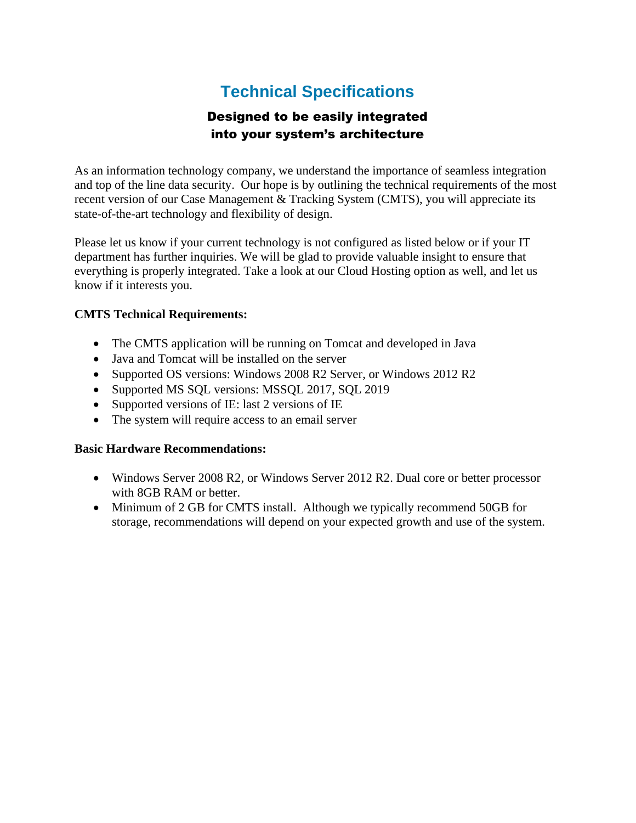# **Technical Specifications**

# Designed to be easily integrated into your system's architecture

As an information technology company, we understand the importance of seamless integration and top of the line data security. Our hope is by outlining the technical requirements of the most recent version of our Case Management & Tracking System (CMTS), you will appreciate its state-of-the-art technology and flexibility of design.

Please let us know if your current technology is not configured as listed below or if your IT department has further inquiries. We will be glad to provide valuable insight to ensure that everything is properly integrated. Take a look at our Cloud Hosting option as well, and let us know if it interests you.

# **CMTS Technical Requirements:**

- The CMTS application will be running on Tomcat and developed in Java
- Java and Tomcat will be installed on the server
- Supported OS versions: Windows 2008 R2 Server, or Windows 2012 R2
- Supported MS SQL versions: MSSQL 2017, SQL 2019
- Supported versions of IE: last 2 versions of IE
- The system will require access to an email server

# **Basic Hardware Recommendations:**

- Windows Server 2008 R2, or Windows Server 2012 R2. Dual core or better processor with 8GB RAM or better.
- Minimum of 2 GB for CMTS install. Although we typically recommend 50GB for storage, recommendations will depend on your expected growth and use of the system.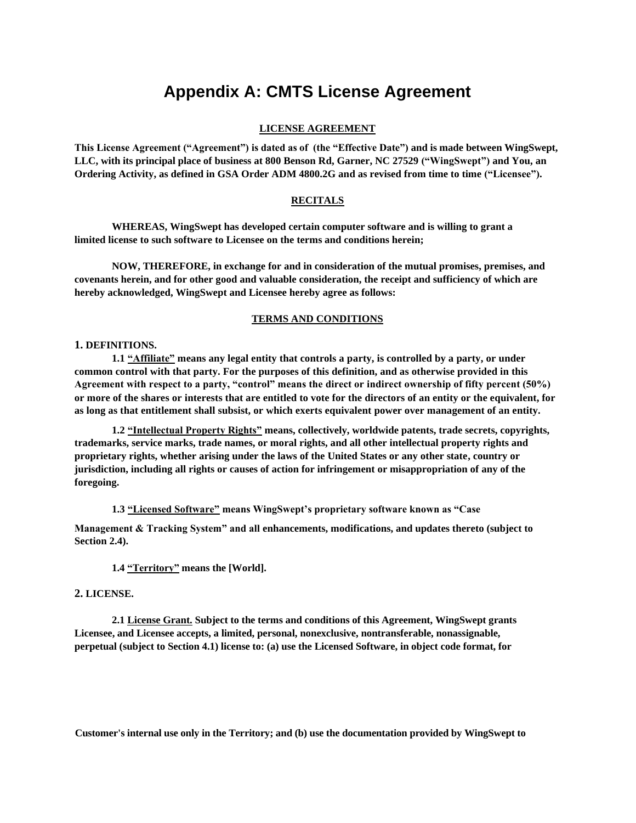# **Appendix A: CMTS License Agreement**

## **LICENSE AGREEMENT**

**This License Agreement ("Agreement") is dated as of (the "Effective Date") and is made between WingSwept, LLC, with its principal place of business at 800 Benson Rd, Garner, NC 27529 ("WingSwept") and You, an Ordering Activity, as defined in GSA Order ADM 4800.2G and as revised from time to time ("Licensee").**

## **RECITALS**

**WHEREAS, WingSwept has developed certain computer software and is willing to grant a limited license to such software to Licensee on the terms and conditions herein;**

**NOW, THEREFORE, in exchange for and in consideration of the mutual promises, premises, and covenants herein, and for other good and valuable consideration, the receipt and sufficiency of which are hereby acknowledged, WingSwept and Licensee hereby agree as follows:**

## **TERMS AND CONDITIONS**

#### **1. DEFINITIONS.**

**1.1 "Affiliate" means any legal entity that controls a party, is controlled by a party, or under common control with that party. For the purposes of this definition, and as otherwise provided in this Agreement with respect to a party, "control" means the direct or indirect ownership of fifty percent (50%) or more of the shares or interests that are entitled to vote for the directors of an entity or the equivalent, for as long as that entitlement shall subsist, or which exerts equivalent power over management of an entity.**

**1.2 "Intellectual Property Rights" means, collectively, worldwide patents, trade secrets, copyrights, trademarks, service marks, trade names, or moral rights, and all other intellectual property rights and proprietary rights, whether arising under the laws of the United States or any other state, country or jurisdiction, including all rights or causes of action for infringement or misappropriation of any of the foregoing.**

**1.3 "Licensed Software" means WingSwept's proprietary software known as "Case**

**Management & Tracking System" and all enhancements, modifications, and updates thereto (subject to Section 2.4).**

**1.4 "Territory" means the [World].**

#### **2. LICENSE.**

**2.1 License Grant. Subject to the terms and conditions of this Agreement, WingSwept grants Licensee, and Licensee accepts, a limited, personal, nonexclusive, nontransferable, nonassignable, perpetual (subject to Section 4.1) license to: (a) use the Licensed Software, in object code format, for**

**Customer's internal use only in the Territory; and (b) use the documentation provided by WingSwept to**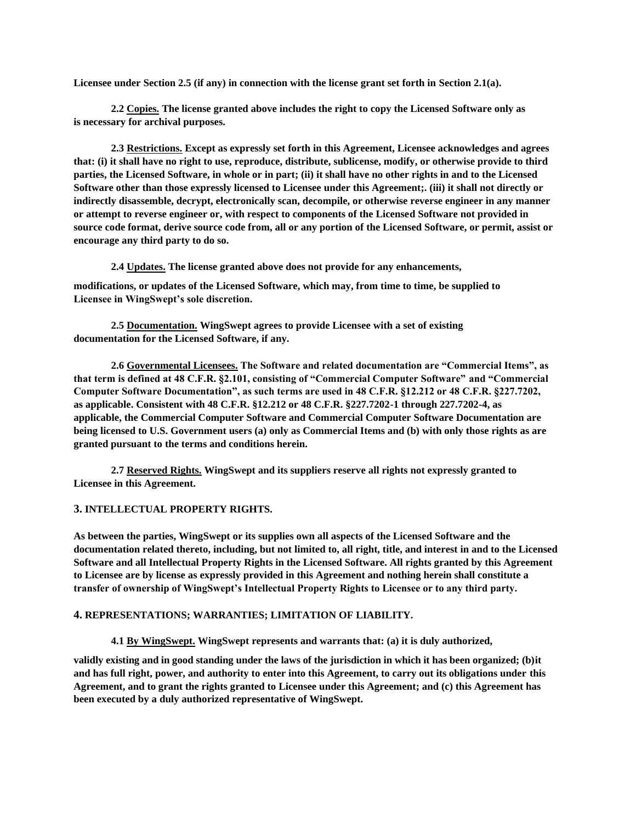**Licensee under Section 2.5 (if any) in connection with the license grant set forth in Section 2.1(a).**

**2.2 Copies. The license granted above includes the right to copy the Licensed Software only as is necessary for archival purposes.**

**2.3 Restrictions. Except as expressly set forth in this Agreement, Licensee acknowledges and agrees that: (i) it shall have no right to use, reproduce, distribute, sublicense, modify, or otherwise provide to third parties, the Licensed Software, in whole or in part; (ii) it shall have no other rights in and to the Licensed Software other than those expressly licensed to Licensee under this Agreement;. (iii) it shall not directly or indirectly disassemble, decrypt, electronically scan, decompile, or otherwise reverse engineer in any manner or attempt to reverse engineer or, with respect to components of the Licensed Software not provided in source code format, derive source code from, all or any portion of the Licensed Software, or permit, assist or encourage any third party to do so.**

**2.4 Updates. The license granted above does not provide for any enhancements,**

**modifications, or updates of the Licensed Software, which may, from time to time, be supplied to Licensee in WingSwept's sole discretion.**

**2.5 Documentation. WingSwept agrees to provide Licensee with a set of existing documentation for the Licensed Software, if any.**

**2.6 Governmental Licensees. The Software and related documentation are "Commercial Items", as that term is defined at 48 C.F.R. §2.101, consisting of "Commercial Computer Software" and "Commercial Computer Software Documentation", as such terms are used in 48 C.F.R. §12.212 or 48 C.F.R. §227.7202, as applicable. Consistent with 48 C.F.R. §12.212 or 48 C.F.R. §227.7202-1 through 227.7202-4, as applicable, the Commercial Computer Software and Commercial Computer Software Documentation are being licensed to U.S. Government users (a) only as Commercial Items and (b) with only those rights as are granted pursuant to the terms and conditions herein.**

**2.7 Reserved Rights. WingSwept and its suppliers reserve all rights not expressly granted to Licensee in this Agreement.**

## **3. INTELLECTUAL PROPERTY RIGHTS.**

**As between the parties, WingSwept or its supplies own all aspects of the Licensed Software and the documentation related thereto, including, but not limited to, all right, title, and interest in and to the Licensed Software and all Intellectual Property Rights in the Licensed Software. All rights granted by this Agreement to Licensee are by license as expressly provided in this Agreement and nothing herein shall constitute a transfer of ownership of WingSwept's Intellectual Property Rights to Licensee or to any third party.**

#### **4. REPRESENTATIONS; WARRANTIES; LIMITATION OF LIABILITY.**

**4.1 By WingSwept. WingSwept represents and warrants that: (a) it is duly authorized,**

**validly existing and in good standing under the laws of the jurisdiction in which it has been organized; (b)it and has full right, power, and authority to enter into this Agreement, to carry out its obligations under this Agreement, and to grant the rights granted to Licensee under this Agreement; and (c) this Agreement has been executed by a duly authorized representative of WingSwept.**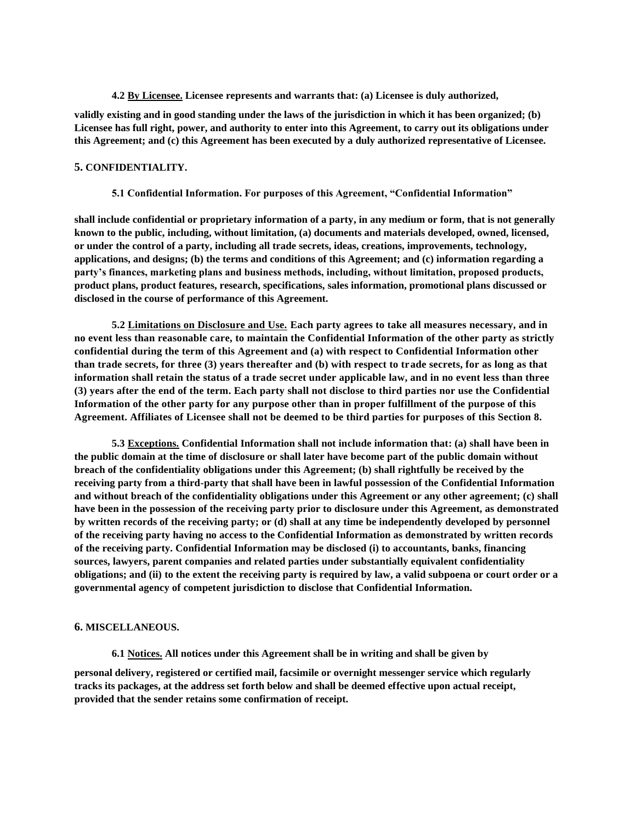**4.2 By Licensee. Licensee represents and warrants that: (a) Licensee is duly authorized,**

**validly existing and in good standing under the laws of the jurisdiction in which it has been organized; (b) Licensee has full right, power, and authority to enter into this Agreement, to carry out its obligations under this Agreement; and (c) this Agreement has been executed by a duly authorized representative of Licensee.**

## **5. CONFIDENTIALITY.**

**5.1 Confidential Information. For purposes of this Agreement, "Confidential Information"**

**shall include confidential or proprietary information of a party, in any medium or form, that is not generally known to the public, including, without limitation, (a) documents and materials developed, owned, licensed, or under the control of a party, including all trade secrets, ideas, creations, improvements, technology, applications, and designs; (b) the terms and conditions of this Agreement; and (c) information regarding a party's finances, marketing plans and business methods, including, without limitation, proposed products, product plans, product features, research, specifications, sales information, promotional plans discussed or disclosed in the course of performance of this Agreement.**

**5.2 Limitations on Disclosure and Use. Each party agrees to take all measures necessary, and in no event less than reasonable care, to maintain the Confidential Information of the other party as strictly confidential during the term of this Agreement and (a) with respect to Confidential Information other than trade secrets, for three (3) years thereafter and (b) with respect to trade secrets, for as long as that information shall retain the status of a trade secret under applicable law, and in no event less than three (3) years after the end of the term. Each party shall not disclose to third parties nor use the Confidential Information of the other party for any purpose other than in proper fulfillment of the purpose of this Agreement. Affiliates of Licensee shall not be deemed to be third parties for purposes of this Section 8.**

**5.3 Exceptions. Confidential Information shall not include information that: (a) shall have been in the public domain at the time of disclosure or shall later have become part of the public domain without breach of the confidentiality obligations under this Agreement; (b) shall rightfully be received by the receiving party from a third-party that shall have been in lawful possession of the Confidential Information and without breach of the confidentiality obligations under this Agreement or any other agreement; (c) shall have been in the possession of the receiving party prior to disclosure under this Agreement, as demonstrated by written records of the receiving party; or (d) shall at any time be independently developed by personnel of the receiving party having no access to the Confidential Information as demonstrated by written records of the receiving party. Confidential Information may be disclosed (i) to accountants, banks, financing sources, lawyers, parent companies and related parties under substantially equivalent confidentiality obligations; and (ii) to the extent the receiving party is required by law, a valid subpoena or court order or a governmental agency of competent jurisdiction to disclose that Confidential Information.**

#### **6. MISCELLANEOUS.**

**6.1 Notices. All notices under this Agreement shall be in writing and shall be given by**

**personal delivery, registered or certified mail, facsimile or overnight messenger service which regularly tracks its packages, at the address set forth below and shall be deemed effective upon actual receipt, provided that the sender retains some confirmation of receipt.**